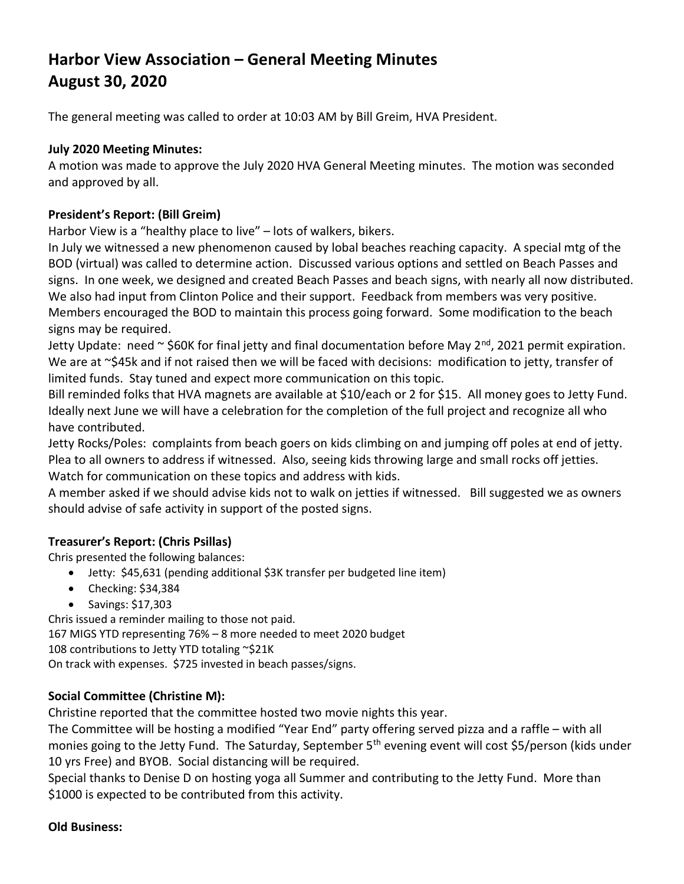# Harbor View Association – General Meeting Minutes August 30, 2020

The general meeting was called to order at 10:03 AM by Bill Greim, HVA President.

## July 2020 Meeting Minutes:

A motion was made to approve the July 2020 HVA General Meeting minutes. The motion was seconded and approved by all.

## President's Report: (Bill Greim)

Harbor View is a "healthy place to live" – lots of walkers, bikers.

In July we witnessed a new phenomenon caused by lobal beaches reaching capacity. A special mtg of the BOD (virtual) was called to determine action. Discussed various options and settled on Beach Passes and signs. In one week, we designed and created Beach Passes and beach signs, with nearly all now distributed. We also had input from Clinton Police and their support. Feedback from members was very positive. Members encouraged the BOD to maintain this process going forward. Some modification to the beach signs may be required.

Jetty Update: need  $\sim$  \$60K for final jetty and final documentation before May 2<sup>nd</sup>, 2021 permit expiration. We are at ~\$45k and if not raised then we will be faced with decisions: modification to jetty, transfer of limited funds. Stay tuned and expect more communication on this topic.

Bill reminded folks that HVA magnets are available at \$10/each or 2 for \$15. All money goes to Jetty Fund. Ideally next June we will have a celebration for the completion of the full project and recognize all who have contributed.

Jetty Rocks/Poles: complaints from beach goers on kids climbing on and jumping off poles at end of jetty. Plea to all owners to address if witnessed. Also, seeing kids throwing large and small rocks off jetties. Watch for communication on these topics and address with kids.

A member asked if we should advise kids not to walk on jetties if witnessed. Bill suggested we as owners should advise of safe activity in support of the posted signs.

## Treasurer's Report: (Chris Psillas)

Chris presented the following balances:

- Jetty: \$45,631 (pending additional \$3K transfer per budgeted line item)
- Checking: \$34,384
- $\bullet$  Savings: \$17,303

Chris issued a reminder mailing to those not paid.

167 MIGS YTD representing 76% – 8 more needed to meet 2020 budget

108 contributions to Jetty YTD totaling ~\$21K

On track with expenses. \$725 invested in beach passes/signs.

# Social Committee (Christine M):

Christine reported that the committee hosted two movie nights this year.

The Committee will be hosting a modified "Year End" party offering served pizza and a raffle – with all monies going to the Jetty Fund. The Saturday, September 5<sup>th</sup> evening event will cost \$5/person (kids under 10 yrs Free) and BYOB. Social distancing will be required.

Special thanks to Denise D on hosting yoga all Summer and contributing to the Jetty Fund. More than \$1000 is expected to be contributed from this activity.

## Old Business: